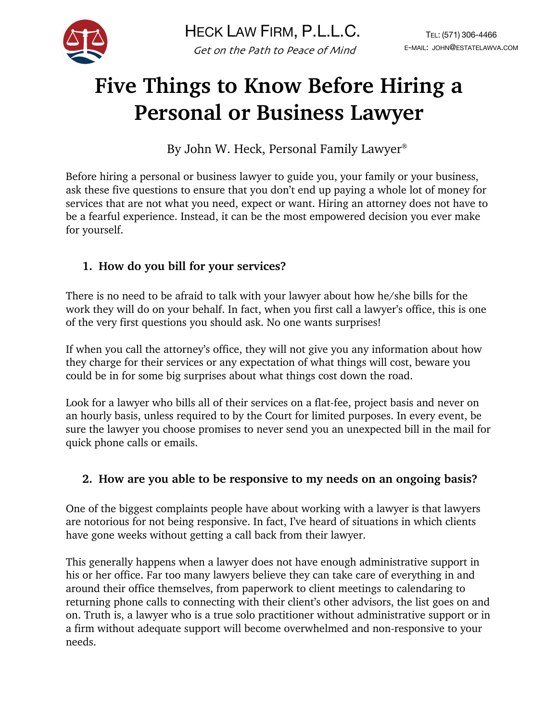

# **Five Things to Know Before Hiring a Personal or Business Lawyer**

By John W. Heck, Personal Family Lawyer®

Before hiring a personal or business lawyer to guide you, your family or your business, ask these five questions to ensure that you don't end up paying a whole lot of money for services that are not what you need, expect or want. Hiring an attorney does not have to be a fearful experience. Instead, it can be the most empowered decision you ever make for yourself.

## **1. How do you bill for your services?**

There is no need to be afraid to talk with your lawyer about how he/she bills for the work they will do on your behalf. In fact, when you first call a lawyer's office, this is one of the very first questions you should ask. No one wants surprises!

If when you call the attorney's office, they will not give you any information about how they charge for their services or any expectation of what things will cost, beware you could be in for some big surprises about what things cost down the road.

Look for a lawyer who bills all of their services on a flat-fee, project basis and never on an hourly basis, unless required to by the Court for limited purposes. In every event, be sure the lawyer you choose promises to never send you an unexpected bill in the mail for quick phone calls or emails.

#### **2. How are you able to be responsive to my needs on an ongoing basis?**

One of the biggest complaints people have about working with a lawyer is that lawyers are notorious for not being responsive. In fact, I've heard of situations in which clients have gone weeks without getting a call back from their lawyer.

This generally happens when a lawyer does not have enough administrative support in his or her office. Far too many lawyers believe they can take care of everything in and around their office themselves, from paperwork to client meetings to calendaring to returning phone calls to connecting with their client's other advisors, the list goes on and on. Truth is, a lawyer who is a true solo practitioner without administrative support or in a firm without adequate support will become overwhelmed and non-responsive to your needs.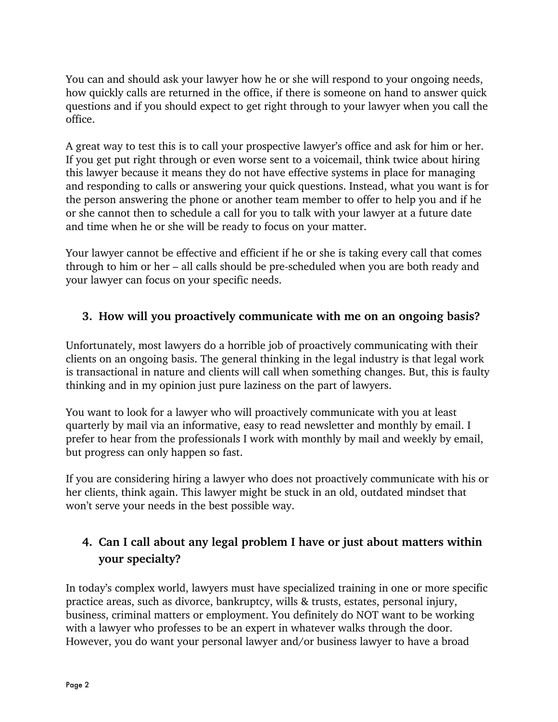You can and should ask your lawyer how he or she will respond to your ongoing needs, how quickly calls are returned in the office, if there is someone on hand to answer quick questions and if you should expect to get right through to your lawyer when you call the office.

A great way to test this is to call your prospective lawyer's office and ask for him or her. If you get put right through or even worse sent to a voicemail, think twice about hiring this lawyer because it means they do not have effective systems in place for managing and responding to calls or answering your quick questions. Instead, what you want is for the person answering the phone or another team member to offer to help you and if he or she cannot then to schedule a call for you to talk with your lawyer at a future date and time when he or she will be ready to focus on your matter.

Your lawyer cannot be effective and efficient if he or she is taking every call that comes through to him or her – all calls should be pre-scheduled when you are both ready and your lawyer can focus on your specific needs.

### **3. How will you proactively communicate with me on an ongoing basis?**

Unfortunately, most lawyers do a horrible job of proactively communicating with their clients on an ongoing basis. The general thinking in the legal industry is that legal work is transactional in nature and clients will call when something changes. But, this is faulty thinking and in my opinion just pure laziness on the part of lawyers.

You want to look for a lawyer who will proactively communicate with you at least quarterly by mail via an informative, easy to read newsletter and monthly by email. I prefer to hear from the professionals I work with monthly by mail and weekly by email, but progress can only happen so fast.

If you are considering hiring a lawyer who does not proactively communicate with his or her clients, think again. This lawyer might be stuck in an old, outdated mindset that won't serve your needs in the best possible way.

## **4. Can I call about any legal problem I have or just about matters within your specialty?**

In today's complex world, lawyers must have specialized training in one or more specific practice areas, such as divorce, bankruptcy, wills & trusts, estates, personal injury, business, criminal matters or employment. You definitely do NOT want to be working with a lawyer who professes to be an expert in whatever walks through the door. However, you do want your personal lawyer and/or business lawyer to have a broad